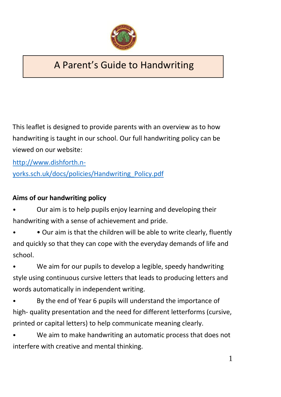

# A Parent's Guide to Handwriting

This leaflet is designed to provide parents with an overview as to how handwriting is taught in our school. Our full handwriting policy can be viewed on our website:

[http://www.dishforth.n](http://www.dishforth.n-yorks.sch.uk/docs/policies/Handwriting_Policy.pdf)[yorks.sch.uk/docs/policies/Handwriting\\_Policy.pdf](http://www.dishforth.n-yorks.sch.uk/docs/policies/Handwriting_Policy.pdf)

# **Aims of our handwriting policy**

• Our aim is to help pupils enjoy learning and developing their handwriting with a sense of achievement and pride.

• Our aim is that the children will be able to write clearly, fluently and quickly so that they can cope with the everyday demands of life and school.

We aim for our pupils to develop a legible, speedy handwriting style using continuous cursive letters that leads to producing letters and words automatically in independent writing.

By the end of Year 6 pupils will understand the importance of high- quality presentation and the need for different letterforms (cursive, printed or capital letters) to help communicate meaning clearly.

We aim to make handwriting an automatic process that does not interfere with creative and mental thinking.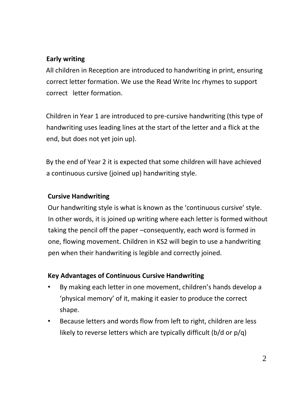# **Early writing**

All children in Reception are introduced to handwriting in print, ensuring correct letter formation. We use the Read Write Inc rhymes to support correct letter formation.

Children in Year 1 are introduced to pre-cursive handwriting (this type of handwriting uses leading lines at the start of the letter and a flick at the end, but does not yet join up).

By the end of Year 2 it is expected that some children will have achieved a continuous cursive (joined up) handwriting style.

#### **Cursive Handwriting**

Our handwriting style is what is known as the 'continuous cursive' style. In other words, it is joined up writing where each letter is formed without taking the pencil off the paper –consequently, each word is formed in one, flowing movement. Children in KS2 will begin to use a handwriting pen when their handwriting is legible and correctly joined.

#### **Key Advantages of Continuous Cursive Handwriting**

- By making each letter in one movement, children's hands develop a 'physical memory' of it, making it easier to produce the correct shape.
- Because letters and words flow from left to right, children are less likely to reverse letters which are typically difficult (b/d or p/q)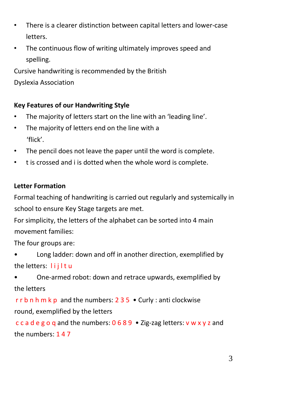- There is a clearer distinction between capital letters and lower-case letters.
- The continuous flow of writing ultimately improves speed and spelling.

Cursive handwriting is recommended by the British Dyslexia Association

## **Key Features of our Handwriting Style**

- The majority of letters start on the line with an 'leading line'.
- The majority of letters end on the line with a 'flick'.
- The pencil does not leave the paper until the word is complete.
- t is crossed and i is dotted when the whole word is complete.

## **Letter Formation**

Formal teaching of handwriting is carried out regularly and systemically in school to ensure Key Stage targets are met.

For simplicity, the letters of the alphabet can be sorted into 4 main movement families:

The four groups are:

- Long ladder: down and off in another direction, exemplified by the letters: lijltu
- One-armed robot: down and retrace upwards, exemplified by the letters

r r b n h m k p and the numbers:  $235 \cdot$  Curly : anti clockwise round, exemplified by the letters

c c a d e g o q and the numbers: 0 6 8 9 • Zig-zag letters: v w x y z and the numbers: 1 4 7